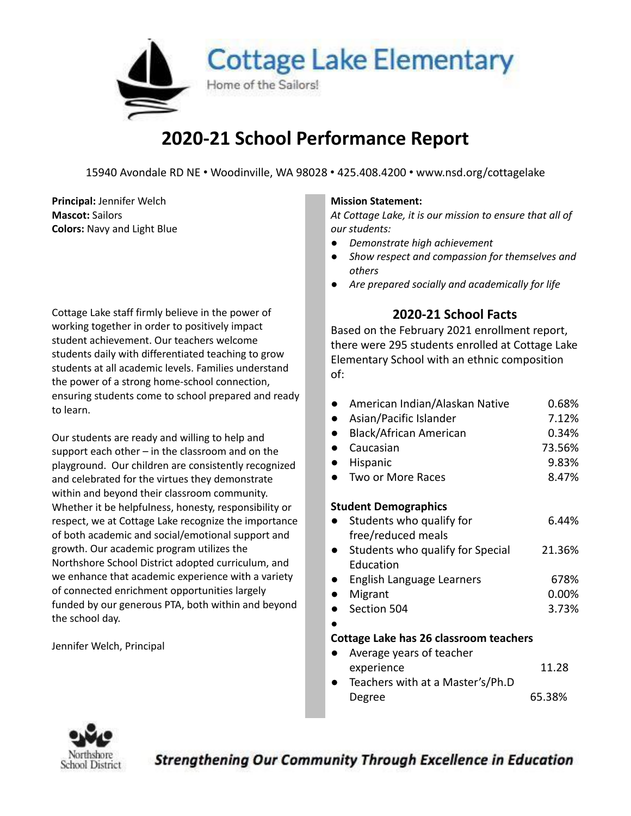

## **2020-21 School Performance Report**

15940 Avondale RD NE • Woodinville, WA 98028 • 425.408.4200 • www.nsd.org/cottagelake

**Principal:** Jennifer Welch **Mission Mission Mission** Statement: **Mascot:** Sailors **Colors:** Navy and Light Blue

Cottage Lake staff firmly believe in the power of working together in order to positively impact student achievement. Our teachers welcome students daily with differentiated teaching to grow students at all academic levels. Families understand the power of a strong home-school connection, ensuring students come to school prepared and ready to learn.

Our students are ready and willing to help and support each other – in the classroom and on the playground. Our children are consistently recognized and celebrated for the virtues they demonstrate within and beyond their classroom community. Whether it be helpfulness, honesty, responsibility or respect, we at Cottage Lake recognize the importance of both academic and social/emotional support and growth. Our academic program utilizes the Northshore School District adopted curriculum, and we enhance that academic experience with a variety of connected enrichment opportunities largely funded by our generous PTA, both within and beyond the school day.

Jennifer Welch, Principal

*At Cottage Lake, it is our mission to ensure that all of our students:*

- *● Demonstrate high achievement*
- *● Show respect and compassion for themselves and others*
- *● Are prepared socially and academically for life*

### **2020-21 School Facts**

Based on the February 2021 enrollment report, there were 295 students enrolled at Cottage Lake Elementary School with an ethnic composition of:

|                                        | American Indian/Alaskan Native   | 0.68%  |  |  |  |  |
|----------------------------------------|----------------------------------|--------|--|--|--|--|
|                                        | Asian/Pacific Islander           | 7.12%  |  |  |  |  |
|                                        | Black/African American           | 0.34%  |  |  |  |  |
|                                        | Caucasian                        | 73.56% |  |  |  |  |
|                                        | Hispanic                         | 9.83%  |  |  |  |  |
|                                        | Two or More Races                | 8.47%  |  |  |  |  |
| <b>Student Demographics</b>            |                                  |        |  |  |  |  |
|                                        | Students who qualify for         | 6.44%  |  |  |  |  |
|                                        | free/reduced meals               |        |  |  |  |  |
|                                        | Students who qualify for Special | 21.36% |  |  |  |  |
|                                        | <b>Education</b>                 |        |  |  |  |  |
|                                        | English Language Learners        | 678%   |  |  |  |  |
|                                        | Migrant                          | 0.00%  |  |  |  |  |
|                                        | Section 504                      | 3.73%  |  |  |  |  |
|                                        |                                  |        |  |  |  |  |
| Cottage Lake has 26 classroom teachers |                                  |        |  |  |  |  |
|                                        | Average years of teacher         |        |  |  |  |  |
|                                        | experience                       | 11.28  |  |  |  |  |

Teachers with at a Master's/Ph.D Degree 65.38%



**Strengthening Our Community Through Excellence in Education**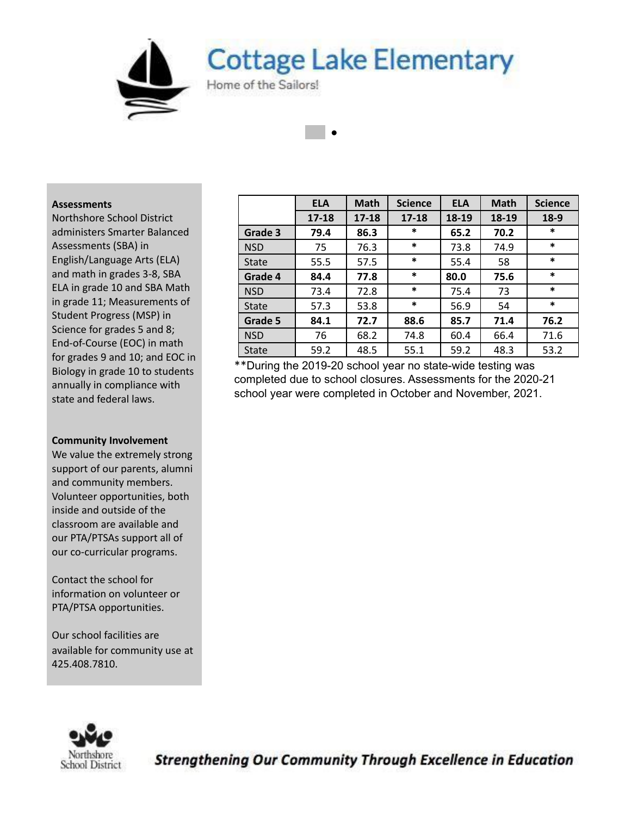**Cottage Lake Elementary** 

●

Home of the Sailors!

#### **Assessments**

Northshore School District administers Smarter Balanced Assessments (SBA) in English/Language Arts (ELA) and math in grades 3-8, SBA ELA in grade 10 and SBA Math in grade 11; Measurements of Student Progress (MSP) in Science for grades 5 and 8; End-of-Course (EOC) in math for grades 9 and 10; and EOC in Biology in grade 10 to students annually in compliance with state and federal laws.

#### **Community Involvement**

We value the extremely strong support of our parents, alumni and community members. Volunteer opportunities, both inside and outside of the classroom are available and our PTA/PTSAs support all of our co-curricular programs.

Contact the school for information on volunteer or PTA/PTSA opportunities.

Our school facilities are available for community use at 425.408.7810.

|              | <b>ELA</b> | <b>Math</b> | <b>Science</b> | <b>ELA</b> | <b>Math</b> | <b>Science</b> |
|--------------|------------|-------------|----------------|------------|-------------|----------------|
|              | $17 - 18$  | $17 - 18$   | $17 - 18$      | 18-19      | 18-19       | $18-9$         |
| Grade 3      | 79.4       | 86.3        | $\ast$         | 65.2       | 70.2        | $\ast$         |
| <b>NSD</b>   | 75         | 76.3        | $\ast$         | 73.8       | 74.9        | $\ast$         |
| <b>State</b> | 55.5       | 57.5        | $\ast$         | 55.4       | 58          | $\ast$         |
| Grade 4      | 84.4       | 77.8        | $\ast$         | 80.0       | 75.6        | $\ast$         |
| <b>NSD</b>   | 73.4       | 72.8        | $\ast$         | 75.4       | 73          | $\ast$         |
| <b>State</b> | 57.3       | 53.8        | $\ast$         | 56.9       | 54          | $\ast$         |
| Grade 5      | 84.1       | 72.7        | 88.6           | 85.7       | 71.4        | 76.2           |
| <b>NSD</b>   | 76         | 68.2        | 74.8           | 60.4       | 66.4        | 71.6           |
| <b>State</b> | 59.2       | 48.5        | 55.1           | 59.2       | 48.3        | 53.2           |

\*\*During the 2019-20 school year no state-wide testing was completed due to school closures. Assessments for the 2020-21 school year were completed in October and November, 2021.



**Strengthening Our Community Through Excellence in Education**